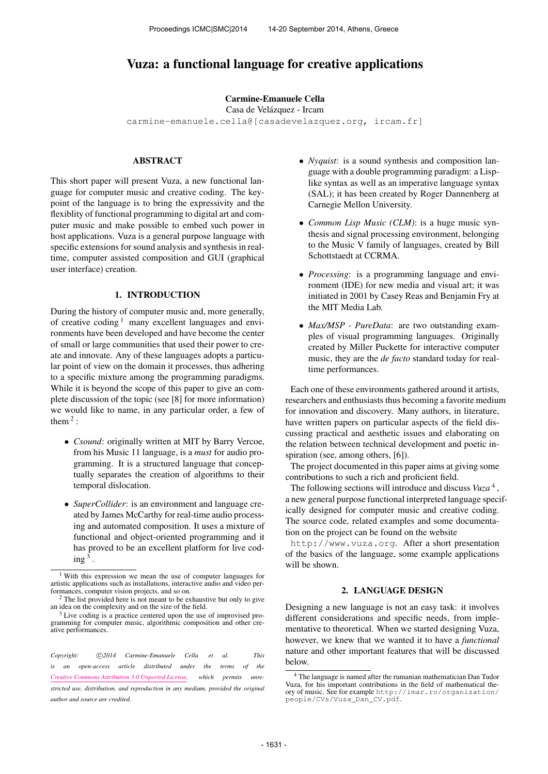# Vuza: a functional language for creative applications

#### Carmine-Emanuele Cella

Casa de Velázquez - Ircam

[carmine-emanuele.cella@\[casadevelazquez.org, ircam.fr\]](mailto:carmine-emanuele.cella@ircam.fr)

# ABSTRACT

This short paper will present Vuza, a new functional language for computer music and creative coding. The keypoint of the language is to bring the expressivity and the flexiblity of functional programming to digital art and computer music and make possible to embed such power in host applications. Vuza is a general purpose language with specific extensions for sound analysis and synthesis in realtime, computer assisted composition and GUI (graphical user interface) creation.

#### 1. INTRODUCTION

During the history of computer music and, more generally, of creative coding  $\frac{1}{2}$  many excellent languages and environments have been developed and have become the center of small or large communities that used their power to create and innovate. Any of these languages adopts a particular point of view on the domain it processes, thus adhering to a specific mixture among the programming paradigms. While it is beyond the scope of this paper to give an complete discussion of the topic (see [8] for more information) we would like to name, in any particular order, a few of them  $2$ :

- *Csound*: originally written at MIT by Barry Vercoe, from his Music 11 language, is a *must* for audio programming. It is a structured language that conceptually separates the creation of algorithms to their temporal dislocation.
- *SuperCollider*: is an environment and language created by James McCarthy for real-time audio processing and automated composition. It uses a mixture of functional and object-oriented programming and it has proved to be an excellent platform for live cod- $\text{ing}^3$  .
- *Nyquist*: is a sound synthesis and composition language with a double programming paradigm: a Lisplike syntax as well as an imperative language syntax (SAL); it has been created by Roger Dannenberg at Carnegie Mellon University.
- *Common Lisp Music (CLM)*: is a huge music synthesis and signal processing environment, belonging to the Music V family of languages, created by Bill Schottstaedt at CCRMA.
- *Processing*: is a programming language and environment (IDE) for new media and visual art; it was initiated in 2001 by Casey Reas and Benjamin Fry at the MIT Media Lab.
- *Max/MSP PureData*: are two outstanding examples of visual programming languages. Originally created by Miller Puckette for interactive computer music, they are the *de facto* standard today for realtime performances.

Each one of these environments gathered around it artists, researchers and enthusiasts thus becoming a favorite medium for innovation and discovery. Many authors, in literature, have written papers on particular aspects of the field discussing practical and aesthetic issues and elaborating on the relation between technical development and poetic inspiration (see, among others, [6]).

The project documented in this paper aims at giving some contributions to such a rich and proficient field.

The following sections will introduce and discuss *Vuza* <sup>4</sup> , a new general purpose functional interpreted language specifically designed for computer music and creative coding. The source code, related examples and some documentation on the project can be found on the website

<http://www.vuza.org>. After a short presentation of the basics of the language, some example applications will be shown.

### 2. LANGUAGE DESIGN

Designing a new language is not an easy task: it involves different considerations and specific needs, from implementative to theoretical. When we started designing Vuza, however, we knew that we wanted it to have a *functional* nature and other important features that will be discussed below.

<sup>1</sup> With this expression we mean the use of computer languages for artistic applications such as installations, interactive audio and video performances, computer vision projects, and so on.

<sup>&</sup>lt;sup>2</sup> The list provided here is not meant to be exhaustive but only to give an idea on the complexity and on the size of the field.

<sup>&</sup>lt;sup>3</sup> Live coding is a practice centered upon the use of improvised programming for computer music, algorithmic composition and other creative performances.

Copyright:  $\bigcirc$  2014 Carmine-Emanuele Cella et al. This *is an open-access article distributed under the terms of the [Creative Commons Attribution 3.0 Unported License,](http://creativecommons.org/licenses/by/3.0/) which permits unrestricted use, distribution, and reproduction in any medium, provided the original author and source are credited.*

<sup>4</sup> The language is named after the rumanian mathematician Dan Tudor Vuza, for his important contributions in the field of mathematical theory of music. See for example [http://imar.ro/organization/](http://imar.ro/organization/people/CVs/Vuza_Dan_CV.pdf) [people/CVs/Vuza\\_Dan\\_CV.pdf](http://imar.ro/organization/people/CVs/Vuza_Dan_CV.pdf).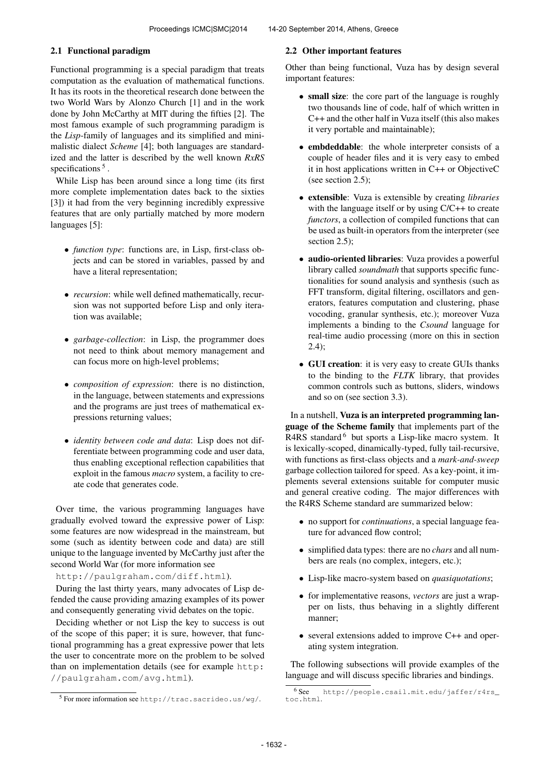# 2.1 Functional paradigm

Functional programming is a special paradigm that treats computation as the evaluation of mathematical functions. It has its roots in the theoretical research done between the two World Wars by Alonzo Church [1] and in the work done by John McCarthy at MIT during the fifties [2]. The most famous example of such programming paradigm is the *Lisp*-family of languages and its simplified and minimalistic dialect *Scheme* [4]; both languages are standardized and the latter is described by the well known *RxRS* specifications<sup>5</sup>.

While Lisp has been around since a long time (its first more complete implementation dates back to the sixties [3]) it had from the very beginning incredibly expressive features that are only partially matched by more modern languages [5]:

- *function type*: functions are, in Lisp, first-class objects and can be stored in variables, passed by and have a literal representation;
- *recursion*: while well defined mathematically, recursion was not supported before Lisp and only iteration was available;
- *garbage-collection*: in Lisp, the programmer does not need to think about memory management and can focus more on high-level problems;
- *composition of expression*: there is no distinction, in the language, between statements and expressions and the programs are just trees of mathematical expressions returning values;
- *identity between code and data*: Lisp does not differentiate between programming code and user data, thus enabling exceptional reflection capabilities that exploit in the famous *macro* system, a facility to create code that generates code.

Over time, the various programming languages have gradually evolved toward the expressive power of Lisp: some features are now widespread in the mainstream, but some (such as identity between code and data) are still unique to the language invented by McCarthy just after the second World War (for more information see

<http://paulgraham.com/diff.html>).

During the last thirty years, many advocates of Lisp defended the cause providing amazing examples of its power and consequently generating vivid debates on the topic.

Deciding whether or not Lisp the key to success is out of the scope of this paper; it is sure, however, that functional programming has a great expressive power that lets the user to concentrate more on the problem to be solved than on implementation details (see for example [http:](http://paulgraham.com/avg.html) [//paulgraham.com/avg.html](http://paulgraham.com/avg.html)).

#### 2.2 Other important features

Other than being functional, Vuza has by design several important features:

- small size: the core part of the language is roughly two thousands line of code, half of which written in C++ and the other half in Vuza itself (this also makes it very portable and maintainable);
- embdeddable: the whole interpreter consists of a couple of header files and it is very easy to embed it in host applications written in C++ or ObjectiveC (see section 2.5);
- extensible: Vuza is extensible by creating *libraries* with the language itself or by using  $C/C++$  to create *functors*, a collection of compiled functions that can be used as built-in operators from the interpreter (see section 2.5);
- audio-oriented libraries: Vuza provides a powerful library called *soundmath* that supports specific functionalities for sound analysis and synthesis (such as FFT transform, digital filtering, oscillators and generators, features computation and clustering, phase vocoding, granular synthesis, etc.); moreover Vuza implements a binding to the *Csound* language for real-time audio processing (more on this in section 2.4);
- GUI creation: it is very easy to create GUIs thanks to the binding to the *FLTK* library, that provides common controls such as buttons, sliders, windows and so on (see section 3.3).

In a nutshell, Vuza is an interpreted programming language of the Scheme family that implements part of the R4RS standard <sup>6</sup> but sports a Lisp-like macro system. It is lexically-scoped, dinamically-typed, fully tail-recursive, with functions as first-class objects and a *mark-and-sweep* garbage collection tailored for speed. As a key-point, it implements several extensions suitable for computer music and general creative coding. The major differences with the R4RS Scheme standard are summarized below:

- no support for *continuations*, a special language feature for advanced flow control;
- simplified data types: there are no *chars* and all numbers are reals (no complex, integers, etc.);
- Lisp-like macro-system based on *quasiquotations*;
- for implementative reasons, *vectors* are just a wrapper on lists, thus behaving in a slightly different manner;
- several extensions added to improve C++ and operating system integration.

The following subsections will provide examples of the language and will discuss specific libraries and bindings.

<sup>5</sup> For more information see <http://trac.sacrideo.us/wg/>.

<sup>6</sup> See [http://people.csail.mit.edu/jaffer/r4rs\\_](http://people.csail.mit.edu/jaffer/r4rs_toc.html) [toc.html](http://people.csail.mit.edu/jaffer/r4rs_toc.html).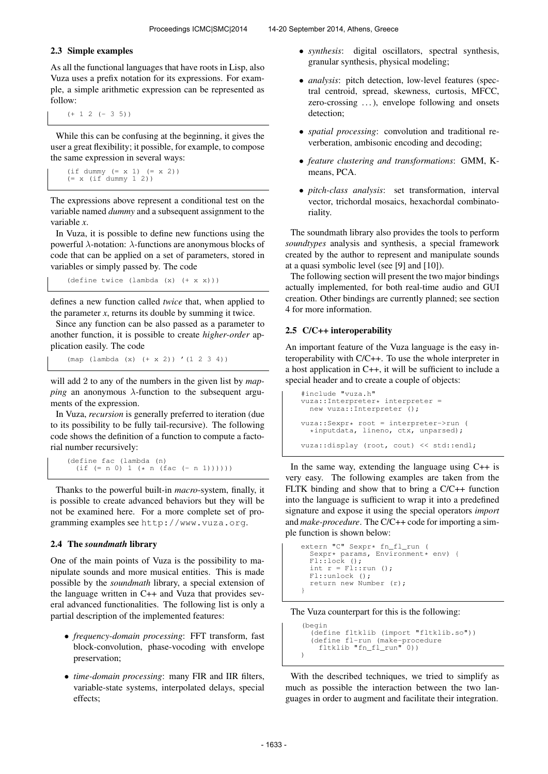### 2.3 Simple examples

As all the functional languages that have roots in Lisp, also Vuza uses a prefix notation for its expressions. For example, a simple arithmetic expression can be represented as follow:

 $(+ 1 2 (-3 5))$ 

While this can be confusing at the beginning, it gives the user a great flexibility; it possible, for example, to compose the same expression in several ways:

```
(if dummy (= x 1) (= x 2))
(= x (if dummy 1 2))
```
The expressions above represent a conditional test on the variable named *dummy* and a subsequent assignment to the variable *x*.

In Vuza, it is possible to define new functions using the powerful λ-notation: λ-functions are anonymous blocks of code that can be applied on a set of parameters, stored in variables or simply passed by. The code

(define twice (lambda (x) (+ x x)))

defines a new function called *twice* that, when applied to the parameter  $x$ , returns its double by summing it twice.

Since any function can be also passed as a parameter to another function, it is possible to create *higher-order* application easily. The code

(map (lambda (x) (+ x 2)) '(1 2 3 4))

will add 2 to any of the numbers in the given list by *mapping* an anonymous  $\lambda$ -function to the subsequent arguments of the expression.

In Vuza, *recursion* is generally preferred to iteration (due to its possibility to be fully tail-recursive). The following code shows the definition of a function to compute a factorial number recursively:

(define fac (lambda (n) (if (= n 0) 1 (\* n (fac (- n 1))))))

Thanks to the powerful built-in *macro*-system, finally, it is possible to create advanced behaviors but they will be not be examined here. For a more complete set of programming examples see <http://www.vuza.org>.

### 2.4 The *soundmath* library

One of the main points of Vuza is the possibility to manipulate sounds and more musical entities. This is made possible by the *soundmath* library, a special extension of the language written in C++ and Vuza that provides several advanced functionalities. The following list is only a partial description of the implemented features:

- *frequency-domain processing*: FFT transform, fast block-convolution, phase-vocoding with envelope preservation;
- *time-domain processing*: many FIR and IIR filters, variable-state systems, interpolated delays, special effects;
- *synthesis*: digital oscillators, spectral synthesis, granular synthesis, physical modeling;
- *analysis*: pitch detection, low-level features (spectral centroid, spread, skewness, curtosis, MFCC, zero-crossing ...), envelope following and onsets detection;
- *spatial processing*: convolution and traditional reverberation, ambisonic encoding and decoding;
- *feature clustering and transformations*: GMM, Kmeans, PCA.
- *pitch-class analysis*: set transformation, interval vector, trichordal mosaics, hexachordal combinatoriality.

The soundmath library also provides the tools to perform *soundtypes* analysis and synthesis, a special framework created by the author to represent and manipulate sounds at a quasi symbolic level (see [9] and [10]).

The following section will present the two major bindings actually implemented, for both real-time audio and GUI creation. Other bindings are currently planned; see section 4 for more information.

# 2.5 C/C++ interoperability

An important feature of the Vuza language is the easy interoperability with C/C++. To use the whole interpreter in a host application in C++, it will be sufficient to include a special header and to create a couple of objects:

```
#include "vuza.h"
vuza::Interpreter* interpreter =
 new vuza::Interpreter ();
vuza::Sexpr* root = interpreter->run (
  *inputdata, lineno, ctx, unparsed);
vuza::display (root, cout) << std::endl;
```
In the same way, extending the language using C++ is very easy. The following examples are taken from the FLTK binding and show that to bring a C/C++ function into the language is sufficient to wrap it into a predefined signature and expose it using the special operators *import* and *make-procedure*. The C/C++ code for importing a simple function is shown below:

```
extern "C" Sexpr* fn_fl_run (
  Sexpr* params, Environment* env) {<br>Fl::lock ();
  int r = \text{Fl:run} ();
  Fl::unlock ();
  return new Number (r);
}
```
### The Vuza counterpart for this is the following:

```
(begin
    (define fltklib (import "fltklib.so"))
(define fl-run (make-procedure
fltklib "fn_fl_run" 0))
)
```
With the described techniques, we tried to simplify as much as possible the interaction between the two languages in order to augment and facilitate their integration.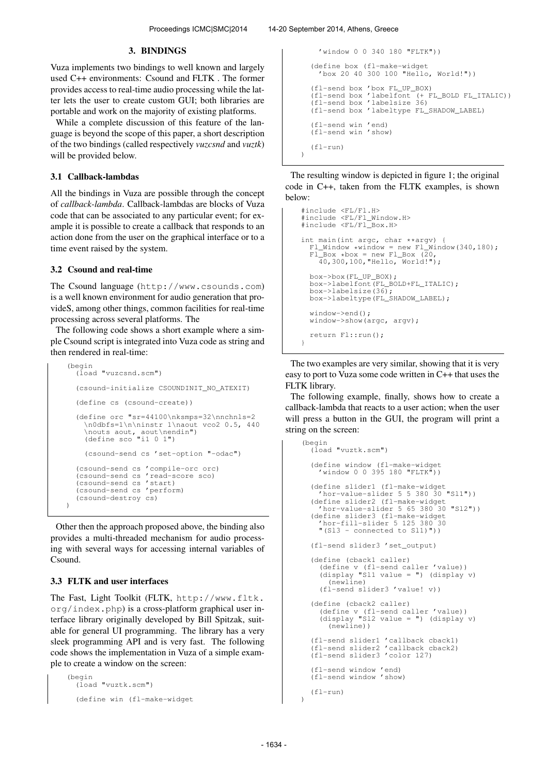### 3. BINDINGS

Vuza implements two bindings to well known and largely used C++ environments: Csound and FLTK . The former provides access to real-time audio processing while the latter lets the user to create custom GUI; both libraries are portable and work on the majority of existing platforms.

While a complete discussion of this feature of the language is beyond the scope of this paper, a short description of the two bindings (called respectively *vuzcsnd* and *vuztk*) will be provided below.

#### 3.1 Callback-lambdas

All the bindings in Vuza are possible through the concept of *callback-lambda*. Callback-lambdas are blocks of Vuza code that can be associated to any particular event; for example it is possible to create a callback that responds to an action done from the user on the graphical interface or to a time event raised by the system.

#### 3.2 Csound and real-time

The Csound language (<http://www.csounds.com>) is a well known environment for audio generation that provideS, among other things, common facilities for real-time processing across several platforms. The

The following code shows a short example where a simple Csound script is integrated into Vuza code as string and then rendered in real-time:

```
(begin
  (load "vuzcsnd.scm")
  (csound-initialize CSOUNDINIT_NO_ATEXIT)
  (define cs (csound-create))
  (define orc "sr=44100\nksmps=32\nnchnls=2
     \n0dbfs=1\n\ninstr 1\naout vco2 0.5, 440
    \nouts aout, aout\nendin")
(define sco "i1 0 1")
    (csound-send cs 'set-option "-odac")
  (csound-send cs 'compile-orc orc)
  (csound-send cs 'read-score sco)
  (csound-send cs 'start)
  (csound-send cs 'perform)
  (csound-destroy cs)
)
```
Other then the approach proposed above, the binding also provides a multi-threaded mechanism for audio processing with several ways for accessing internal variables of Csound.

# 3.3 FLTK and user interfaces

The Fast, Light Toolkit (FLTK, [http://www.fltk.](http://www.fltk.org/index.php) [org/index.php](http://www.fltk.org/index.php)) is a cross-platform graphical user interface library originally developed by Bill Spitzak, suitable for general UI programming. The library has a very sleek programming API and is very fast. The following code shows the implementation in Vuza of a simple example to create a window on the screen:

```
(begin
  (load "vuztk.scm")
  (define win (fl-make-widget
```

```
'window 0 0 340 180 "FLTK"))
  (define box (fl-make-widget
'box 20 40 300 100 "Hello, World!"))
   (fl-send box 'box FL_UP_BOX)
   (fl-send box 'labelfont (+ FL_BOLD FL_ITALIC))
  (fl-send box 'labelsize 36)
(fl-send box 'labeltype FL_SHADOW_LABEL)
  (fl-send win 'end)
(fl-send win 'show)
   (f1-run))
```
The resulting window is depicted in figure 1; the original code in C++, taken from the FLTK examples, is shown below:

```
#include <FL/Fl.H>
#include <FL/Fl_Window.H>
#include <FL/Fl_Box.H>
int main(int argc, char **argv)
  FL\_Window *window = new Fl\_Window(340,180);F1_Box * box = new Fl_Box (20, 40, 300, 100, "Hello, World!");box->box(FL_UP_BOX);
box->labelfont(FL_BOLD+FL_ITALIC);
  box->labelsize(36);
  box->labeltype(FL_SHADOW_LABEL);
  window->end();
  window->show(argc, argv):
  return Fl::run();
}
```
The two examples are very similar, showing that it is very easy to port to Vuza some code written in C++ that uses the FLTK library.

The following example, finally, shows how to create a callback-lambda that reacts to a user action; when the user will press a button in the GUI, the program will print a string on the screen:

```
(begin
  (load "vuztk.scm")
  (define window (fl-make-widget
'window 0 0 395 180 "FLTK"))
  (define slider1 (fl-make-widget
'hor-value-slider 5 5 380 30 "Sl1"))
  (define slider2 (fl-make-widget
'hor-value-slider 5 65 380 30 "Sl2"))
  (define slider3 (fl-make-widget
     'hor-fill-slider 5 125 380 30
     "(Sl3 - connected to Sl1)"))
  (fl-send slider3 'set_output)
  (define (cback1 caller)
     (define v (fl-send caller 'value))
(display "Sl1 value = ") (display v)
        (newline)
     (fl-send slider3 'value! v))
  (define (cback2 caller)
     (define v (fl-send caller 'value))
(display "Sl2 value = ") (display v)
        (newline))
  (fl-send slider1 'callback cback1)
(fl-send slider2 'callback cback2)
  (fl-send slider3 'color 127)
  (fl-send window 'end)
  (fl-send window 'show)
  (fl-run)
```
 $\overline{\phantom{a}}$